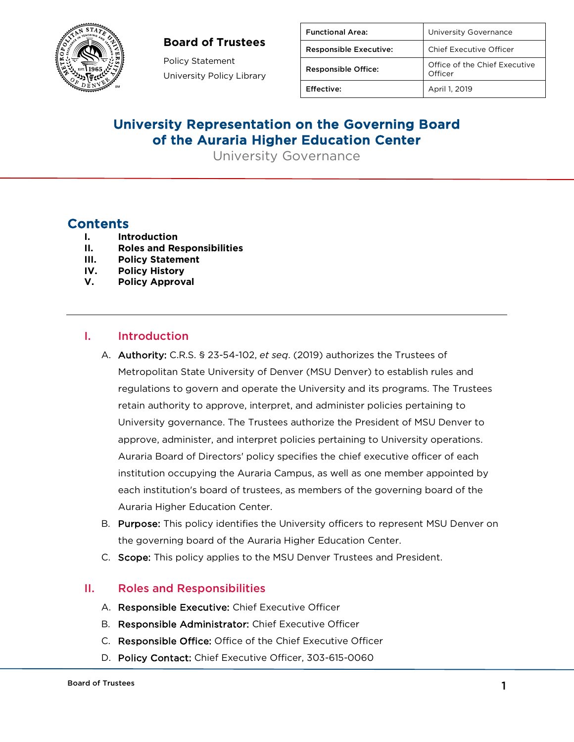### **Board of Trustees**



Policy Statement University Policy Library

| <b>Functional Area:</b>       | University Governance                    |
|-------------------------------|------------------------------------------|
| <b>Responsible Executive:</b> | Chief Executive Officer                  |
| <b>Responsible Office:</b>    | Office of the Chief Executive<br>Officer |
| <b>Effective:</b>             | April 1, 2019                            |

# University Representation on the Governing Board of the Auraria Higher Education Center

University Governance

## **Contents**

- **I. Introduction**
- **II. Roles and Responsibilities**
- **III. Policy Statement**
- **IV. Policy History**
- **V. Policy Approval**

#### I. Introduction

- A. Authority: C.R.S. § 23-54-102, *et seq*. (2019) authorizes the Trustees of Metropolitan State University of Denver (MSU Denver) to establish rules and regulations to govern and operate the University and its programs. The Trustees retain authority to approve, interpret, and administer policies pertaining to University governance. The Trustees authorize the President of MSU Denver to approve, administer, and interpret policies pertaining to University operations. Auraria Board of Directors' policy specifies the chief executive officer of each institution occupying the Auraria Campus, as well as one member appointed by each institution's board of trustees, as members of the governing board of the Auraria Higher Education Center.
- B. Purpose: This policy identifies the University officers to represent MSU Denver on the governing board of the Auraria Higher Education Center.
- C. Scope: This policy applies to the MSU Denver Trustees and President.

#### II. Roles and Responsibilities

- A. Responsible Executive: Chief Executive Officer
- B. Responsible Administrator: Chief Executive Officer
- C. Responsible Office: Office of the Chief Executive Officer
- D. Policy Contact: Chief Executive Officer, 303-615-0060